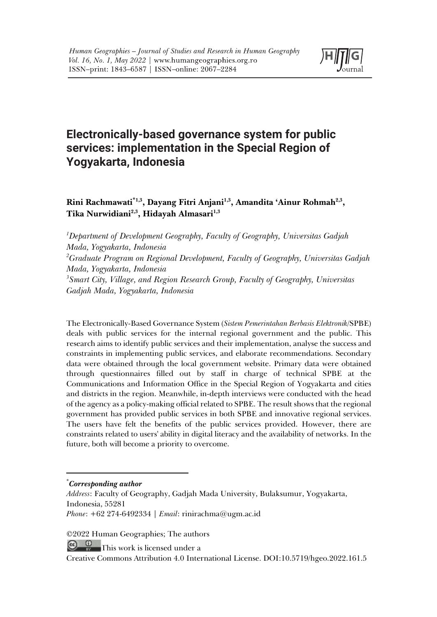

# **Electronically-based governance system for public services: implementation in the Special Region of Yogyakarta, Indonesia**

**Rini Rachmawati\*1,3, Dayang Fitri Anjani1,3, Amandita 'Ainur Rohmah2,3, Tika Nurwidiani2,3, Hidayah Almasari1,3**

*1 Department of Development Geography, Faculty of Geography, Universitas Gadjah Mada, Yogyakarta, Indonesia 2 Graduate Program on Regional Development, Faculty of Geography, Universitas Gadjah Mada, Yogyakarta, Indonesia 3 Smart City, Village, and Region Research Group, Faculty of Geography, Universitas Gadjah Mada, Yogyakarta, Indonesia*

The Electronically-Based Governance System (*Sistem Pemerintahan Berbasis Elektronik*/SPBE) deals with public services for the internal regional government and the public. This research aims to identify public services and their implementation, analyse the success and constraints in implementing public services, and elaborate recommendations. Secondary data were obtained through the local government website. Primary data were obtained through questionnaires filled out by staff in charge of technical SPBE at the Communications and Information Office in the Special Region of Yogyakarta and cities and districts in the region. Meanwhile, in-depth interviews were conducted with the head of the agency as a policy-making official related to SPBE. The result shows that the regional government has provided public services in both SPBE and innovative regional services. The users have felt the benefits of the public services provided. However, there are constraints related to users' ability in digital literacy and the availability of networks. In the future, both will become a priority to overcome.

©2022 Human Geographies; The authors

 $\circ$   $\circ$ This work is licensed under a

<sup>\*</sup> *Corresponding author*

*Address*: Faculty of Geography, Gadjah Mada University, Bulaksumur, Yogyakarta, Indonesia, 55281

*Phone*: +62 274-6492334 | *Email*: rinirachma@ugm.ac.id

Creative Commons Attribution 4.0 International License. DOI:10.5719/hgeo.2022.161.5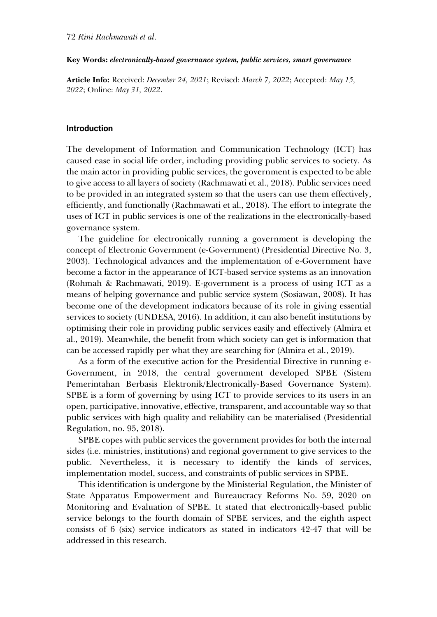#### **Key Words:** *electronically-based governance system, public services, smart governance*

**Article Info:** Received: *December 24, 2021*; Revised: *March 7, 2022*; Accepted: *May 15, 2022*; Online: *May 31, 2022*.

### **Introduction**

The development of Information and Communication Technology (ICT) has caused ease in social life order, including providing public services to society. As the main actor in providing public services, the government is expected to be able to give access to all layers of society (Rachmawati et al., 2018). Public services need to be provided in an integrated system so that the users can use them effectively, efficiently, and functionally (Rachmawati et al., 2018). The effort to integrate the uses of ICT in public services is one of the realizations in the electronically-based governance system.

The guideline for electronically running a government is developing the concept of Electronic Government (e-Government) (Presidential Directive No. 3, 2003). Technological advances and the implementation of e-Government have become a factor in the appearance of ICT-based service systems as an innovation (Rohmah & Rachmawati, 2019). E-government is a process of using ICT as a means of helping governance and public service system (Sosiawan, 2008). It has become one of the development indicators because of its role in giving essential services to society (UNDESA, 2016). In addition, it can also benefit institutions by optimising their role in providing public services easily and effectively (Almira et al., 2019). Meanwhile, the benefit from which society can get is information that can be accessed rapidly per what they are searching for (Almira et al., 2019).

As a form of the executive action for the Presidential Directive in running e-Government, in 2018, the central government developed SPBE (Sistem Pemerintahan Berbasis Elektronik/Electronically-Based Governance System). SPBE is a form of governing by using ICT to provide services to its users in an open, participative, innovative, effective, transparent, and accountable way so that public services with high quality and reliability can be materialised (Presidential Regulation, no. 95, 2018).

SPBE copes with public services the government provides for both the internal sides (i.e. ministries, institutions) and regional government to give services to the public. Nevertheless, it is necessary to identify the kinds of services, implementation model, success, and constraints of public services in SPBE.

This identification is undergone by the Ministerial Regulation, the Minister of State Apparatus Empowerment and Bureaucracy Reforms No. 59, 2020 on Monitoring and Evaluation of SPBE. It stated that electronically-based public service belongs to the fourth domain of SPBE services, and the eighth aspect consists of 6 (six) service indicators as stated in indicators 42-47 that will be addressed in this research.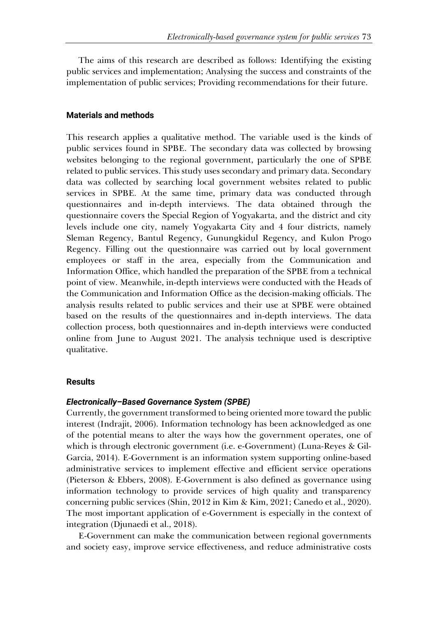The aims of this research are described as follows: Identifying the existing public services and implementation; Analysing the success and constraints of the implementation of public services; Providing recommendations for their future.

## **Materials and methods**

This research applies a qualitative method. The variable used is the kinds of public services found in SPBE. The secondary data was collected by browsing websites belonging to the regional government, particularly the one of SPBE related to public services. This study uses secondary and primary data. Secondary data was collected by searching local government websites related to public services in SPBE. At the same time, primary data was conducted through questionnaires and in-depth interviews. The data obtained through the questionnaire covers the Special Region of Yogyakarta, and the district and city levels include one city, namely Yogyakarta City and 4 four districts, namely Sleman Regency, Bantul Regency, Gunungkidul Regency, and Kulon Progo Regency. Filling out the questionnaire was carried out by local government employees or staff in the area, especially from the Communication and Information Office, which handled the preparation of the SPBE from a technical point of view. Meanwhile, in-depth interviews were conducted with the Heads of the Communication and Information Office as the decision-making officials. The analysis results related to public services and their use at SPBE were obtained based on the results of the questionnaires and in-depth interviews. The data collection process, both questionnaires and in-depth interviews were conducted online from June to August 2021. The analysis technique used is descriptive qualitative.

## **Results**

## *Electronically–Based Governance System (SPBE)*

Currently, the government transformed to being oriented more toward the public interest (Indrajit, 2006). Information technology has been acknowledged as one of the potential means to alter the ways how the government operates, one of which is through electronic government (i.e. e-Government) (Luna-Reyes & Gil-Garcia, 2014). E-Government is an information system supporting online-based administrative services to implement effective and efficient service operations (Pieterson & Ebbers, 2008). E-Government is also defined as governance using information technology to provide services of high quality and transparency concerning public services (Shin, 2012 in Kim & Kim, 2021; Canedo et al., 2020). The most important application of e-Government is especially in the context of integration (Djunaedi et al., 2018).

E-Government can make the communication between regional governments and society easy, improve service effectiveness, and reduce administrative costs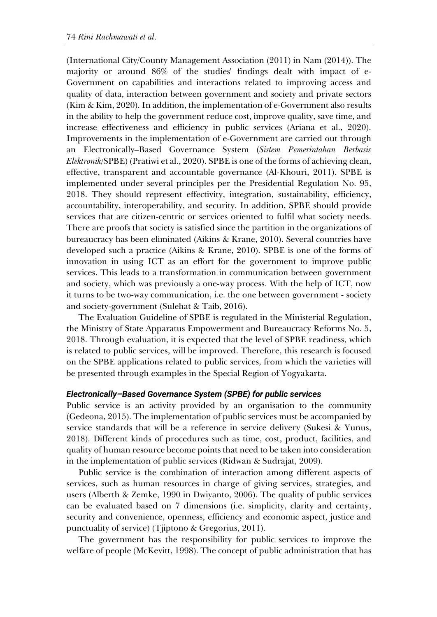(International City/County Management Association (2011) in Nam (2014)). The majority or around 86% of the studies' findings dealt with impact of e-Government on capabilities and interactions related to improving access and quality of data, interaction between government and society and private sectors (Kim & Kim, 2020). In addition, the implementation of e-Government also results in the ability to help the government reduce cost, improve quality, save time, and increase effectiveness and efficiency in public services (Ariana et al., 2020). Improvements in the implementation of e-Government are carried out through an Electronically–Based Governance System (*Sistem Pemerintahan Berbasis Elektronik*/SPBE) (Pratiwi et al., 2020). SPBE is one of the forms of achieving clean, effective, transparent and accountable governance (Al-Khouri, 2011). SPBE is implemented under several principles per the Presidential Regulation No. 95, 2018. They should represent effectivity, integration, sustainability, efficiency, accountability, interoperability, and security. In addition, SPBE should provide services that are citizen-centric or services oriented to fulfil what society needs. There are proofs that society is satisfied since the partition in the organizations of bureaucracy has been eliminated (Aikins & Krane, 2010). Several countries have developed such a practice (Aikins & Krane, 2010). SPBE is one of the forms of innovation in using ICT as an effort for the government to improve public services. This leads to a transformation in communication between government and society, which was previously a one-way process. With the help of ICT, now it turns to be two-way communication, i.e. the one between government - society and society-government (Sulehat & Taib, 2016).

The Evaluation Guideline of SPBE is regulated in the Ministerial Regulation, the Ministry of State Apparatus Empowerment and Bureaucracy Reforms No. 5, 2018. Through evaluation, it is expected that the level of SPBE readiness, which is related to public services, will be improved. Therefore, this research is focused on the SPBE applications related to public services, from which the varieties will be presented through examples in the Special Region of Yogyakarta.

## *Electronically–Based Governance System (SPBE) for public services*

Public service is an activity provided by an organisation to the community (Gedeona, 2015). The implementation of public services must be accompanied by service standards that will be a reference in service delivery (Sukesi & Yunus, 2018). Different kinds of procedures such as time, cost, product, facilities, and quality of human resource become points that need to be taken into consideration in the implementation of public services (Ridwan & Sudrajat, 2009).

Public service is the combination of interaction among different aspects of services, such as human resources in charge of giving services, strategies, and users (Alberth & Zemke, 1990 in Dwiyanto, 2006). The quality of public services can be evaluated based on 7 dimensions (i.e. simplicity, clarity and certainty, security and convenience, openness, efficiency and economic aspect, justice and punctuality of service) (Tjiptono & Gregorius, 2011).

The government has the responsibility for public services to improve the welfare of people (McKevitt, 1998). The concept of public administration that has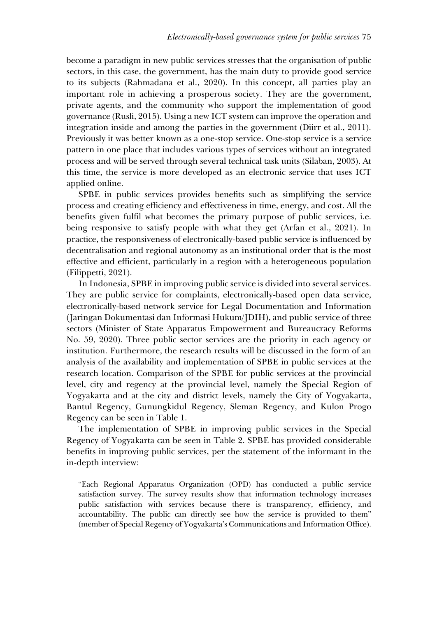become a paradigm in new public services stresses that the organisation of public sectors, in this case, the government, has the main duty to provide good service to its subjects (Rahmadana et al., 2020). In this concept, all parties play an important role in achieving a prosperous society. They are the government, private agents, and the community who support the implementation of good governance (Rusli, 2015). Using a new ICT system can improve the operation and integration inside and among the parties in the government (Diirr et al., 2011). Previously it was better known as a one-stop service. One-stop service is a service pattern in one place that includes various types of services without an integrated process and will be served through several technical task units (Silaban, 2003). At this time, the service is more developed as an electronic service that uses ICT applied online.

SPBE in public services provides benefits such as simplifying the service process and creating efficiency and effectiveness in time, energy, and cost. All the benefits given fulfil what becomes the primary purpose of public services, i.e. being responsive to satisfy people with what they get (Arfan et al., 2021). In practice, the responsiveness of electronically-based public service is influenced by decentralisation and regional autonomy as an institutional order that is the most effective and efficient, particularly in a region with a heterogeneous population (Filippetti, 2021).

In Indonesia, SPBE in improving public service is divided into several services. They are public service for complaints, electronically-based open data service, electronically-based network service for Legal Documentation and Information (Jaringan Dokumentasi dan Informasi Hukum/JDIH), and public service of three sectors (Minister of State Apparatus Empowerment and Bureaucracy Reforms No. 59, 2020). Three public sector services are the priority in each agency or institution. Furthermore, the research results will be discussed in the form of an analysis of the availability and implementation of SPBE in public services at the research location. Comparison of the SPBE for public services at the provincial level, city and regency at the provincial level, namely the Special Region of Yogyakarta and at the city and district levels, namely the City of Yogyakarta, Bantul Regency, Gunungkidul Regency, Sleman Regency, and Kulon Progo Regency can be seen in Table 1.

The implementation of SPBE in improving public services in the Special Regency of Yogyakarta can be seen in Table 2. SPBE has provided considerable benefits in improving public services, per the statement of the informant in the in-depth interview:

"Each Regional Apparatus Organization (OPD) has conducted a public service satisfaction survey. The survey results show that information technology increases public satisfaction with services because there is transparency, efficiency, and accountability. The public can directly see how the service is provided to them" (member of Special Regency of Yogyakarta's Communications and Information Office).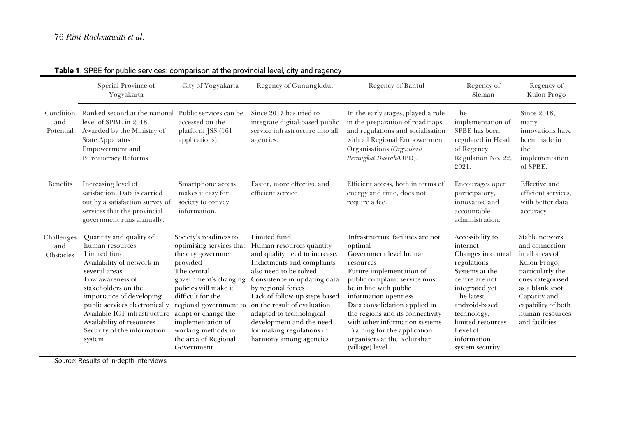|                                | Special Province of<br>Yogyakarta                                                                                                                                                                                                                                                                                        | City of Yogyakarta                                                                                                                                                                                                                                                                                            | Regency of Gunungkidul                                                                                                                                                                                                                                                                                                                                                  | Regency of Bantul                                                                                                                                                                                                                                                                                                                                                                            | Regency of<br>Sleman                                                                                                                                                                                                                     | Regency of<br>Kulon Progo                                                                                                                                                                                 |
|--------------------------------|--------------------------------------------------------------------------------------------------------------------------------------------------------------------------------------------------------------------------------------------------------------------------------------------------------------------------|---------------------------------------------------------------------------------------------------------------------------------------------------------------------------------------------------------------------------------------------------------------------------------------------------------------|-------------------------------------------------------------------------------------------------------------------------------------------------------------------------------------------------------------------------------------------------------------------------------------------------------------------------------------------------------------------------|----------------------------------------------------------------------------------------------------------------------------------------------------------------------------------------------------------------------------------------------------------------------------------------------------------------------------------------------------------------------------------------------|------------------------------------------------------------------------------------------------------------------------------------------------------------------------------------------------------------------------------------------|-----------------------------------------------------------------------------------------------------------------------------------------------------------------------------------------------------------|
| Condition<br>and<br>Potential  | Ranked second at the national Public services can be<br>level of SPBE in 2018.<br>Awarded by the Ministry of<br><b>State Apparatus</b><br>Empowerment and<br><b>Bureaucracy Reforms</b>                                                                                                                                  | accessed on the<br>platform JSS (161<br>applications).                                                                                                                                                                                                                                                        | Since 2017 has tried to<br>integrate digital-based public<br>service infrastructure into all<br>agencies.                                                                                                                                                                                                                                                               | In the early stages, played a role<br>in the preparation of roadmaps<br>and regulations and socialisation<br>with all Regional Empowerment<br>Organisations (Organisasi<br>Perangkat Daerah/OPD).                                                                                                                                                                                            | The<br>implementation of<br>SPBE has been<br>regulated in Head<br>of Regency<br>Regulation No. 22,<br>2021.                                                                                                                              | Since 2018,<br>many<br>innovations have<br>been made in<br>the<br>implementation<br>of SPBE.                                                                                                              |
| Benefits                       | Increasing level of<br>satisfaction. Data is carried<br>out by a satisfaction survey of<br>services that the provincial<br>government runs annually.                                                                                                                                                                     | Smartphone access<br>makes it easy for<br>society to convey<br>information.                                                                                                                                                                                                                                   | Faster, more effective and<br>efficient service                                                                                                                                                                                                                                                                                                                         | Efficient access, both in terms of<br>energy and time, does not<br>require a fee.                                                                                                                                                                                                                                                                                                            | Encourages open,<br>participatory,<br>innovative and<br>accountable<br>administration.                                                                                                                                                   | <b>Effective</b> and<br>efficient services,<br>with better data<br>accuracy                                                                                                                               |
| Challenges<br>and<br>Obstacles | Quantity and quality of<br>human resources<br>Limited fund<br>Availability of network in<br>several areas<br>Low awareness of<br>stakeholders on the<br>importance of developing<br>public services electronically<br>Available ICT infrastructure<br>Availability of resources<br>Security of the information<br>system | Society's readiness to<br>optimising services that<br>the city government<br>provided<br>The central<br>government's changing<br>policies will make it<br>difficult for the<br>regional government to<br>adapt or change the<br>implementation of<br>working methods in<br>the area of Regional<br>Government | Limited fund<br>Human resources quantity<br>and quality need to increase.<br>Indictments and complaints<br>also need to be solved.<br>Consistence in updating data<br>by regional forces<br>Lack of follow-up steps based<br>on the result of evaluation<br>adapted to technological<br>development and the need<br>for making regulations in<br>harmony among agencies | Infrastructure facilities are not<br>optimal<br>Government level human<br>resources<br>Future implementation of<br>public complaint service must<br>be in line with public<br>information openness<br>Data consolidation applied in<br>the regions and its connectivity<br>with other information systems<br>Training for the application<br>organisers at the Kelurahan<br>(village) level. | Accessibility to<br>internet<br>Changes in central<br>regulations<br>Systems at the<br>centre are not<br>integrated yet<br>The latest<br>android-based<br>technology,<br>limited resources<br>Level of<br>information<br>system security | Stable network<br>and connection<br>in all areas of<br>Kulon Progo,<br>particularly the<br>ones categorised<br>as a blank spot<br>Capacity and<br>capability of both<br>human resources<br>and facilities |

# **Table 1**. SPBE for public services: comparison at the provincial level, city and regency

*Source*: Results of in-depth interviews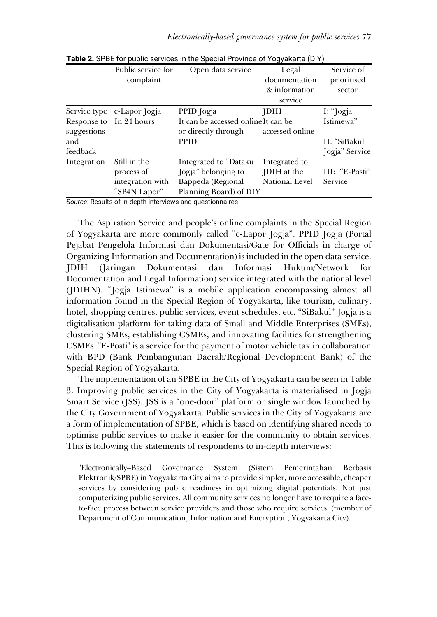|                         | Public service for         | Open data service                  | Legal                 | Service of     |
|-------------------------|----------------------------|------------------------------------|-----------------------|----------------|
|                         | complaint                  |                                    | documentation         | prioritised    |
|                         |                            |                                    | & information         | sector         |
|                         |                            |                                    | service               |                |
|                         | Service type e-Lapor Jogja | PPID Jogja                         | <b>JDIH</b>           | I: "Jogja      |
| Response to In 24 hours |                            | It can be accessed onlineIt can be |                       | Istimewa"      |
| suggestions             |                            | or directly through                | accessed online       |                |
| and                     |                            | <b>PPID</b>                        |                       | II: "SiBakul   |
| feedback                |                            |                                    |                       | Jogja" Service |
| Integration             | Still in the               | Integrated to "Dataku              | Integrated to         |                |
|                         | process of                 | Jogja" belonging to                | JDIH at the           | III: "E-Posti" |
|                         | integration with           | Bappeda (Regional                  | <b>National Level</b> | Service        |
|                         | "SP4N Lapor"               | Planning Board) of DIY             |                       |                |

**Table 2.** SPBE for public services in the Special Province of Yogyakarta (DIY)

*Source*: Results of in-depth interviews and questionnaires

The Aspiration Service and people's online complaints in the Special Region of Yogyakarta are more commonly called "e-Lapor Jogja". PPID Jogja (Portal Pejabat Pengelola Informasi dan Dokumentasi/Gate for Officials in charge of Organizing Information and Documentation) is included in the open data service. JDIH (Jaringan Dokumentasi dan Informasi Hukum/Network for Documentation and Legal Information) service integrated with the national level (JDIHN). "Jogja Istimewa" is a mobile application encompassing almost all information found in the Special Region of Yogyakarta, like tourism, culinary, hotel, shopping centres, public services, event schedules, etc. "SiBakul" Jogja is a digitalisation platform for taking data of Small and Middle Enterprises (SMEs), clustering SMEs, establishing CSMEs, and innovating facilities for strengthening CSMEs. "E-Posti" is a service for the payment of motor vehicle tax in collaboration with BPD (Bank Pembangunan Daerah/Regional Development Bank) of the Special Region of Yogyakarta.

The implementation of an SPBE in the City of Yogyakarta can be seen in Table 3. Improving public services in the City of Yogyakarta is materialised in Jogja Smart Service (JSS). JSS is a "one-door" platform or single window launched by the City Government of Yogyakarta. Public services in the City of Yogyakarta are a form of implementation of SPBE, which is based on identifying shared needs to optimise public services to make it easier for the community to obtain services. This is following the statements of respondents to in-depth interviews:

"Electronically–Based Governance System (Sistem Pemerintahan Berbasis Elektronik/SPBE) in Yogyakarta City aims to provide simpler, more accessible, cheaper services by considering public readiness in optimizing digital potentials. Not just computerizing public services. All community services no longer have to require a faceto-face process between service providers and those who require services. (member of Department of Communication, Information and Encryption, Yogyakarta City).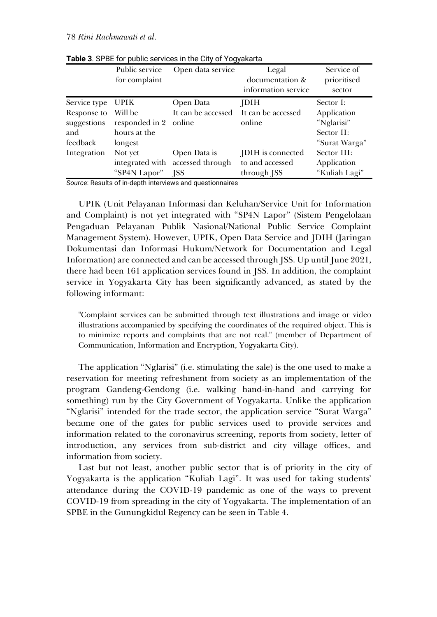|                                               | Public service<br>for complaint                             | Open data service                                        | Legal<br>documentation &<br>information service     | Service of<br>prioritised<br>sector                      |
|-----------------------------------------------|-------------------------------------------------------------|----------------------------------------------------------|-----------------------------------------------------|----------------------------------------------------------|
| Service type                                  | UPIK                                                        | Open Data                                                | <b>JDIH</b>                                         | Sector I:                                                |
| Response to<br>suggestions<br>and<br>feedback | Will be<br>responded in 2 online<br>hours at the<br>longest | It can be accessed                                       | It can be accessed<br>online                        | Application<br>"Nglarisi"<br>Sector II:<br>"Surat Warga" |
| Integration                                   | Not yet<br>"SP4N Lapor"                                     | Open Data is<br>integrated with accessed through<br>ISS. | JDIH is connected<br>to and accessed<br>through JSS | Sector III:<br>Application<br>"Kuliah Lagi"              |

**Table 3**. SPBE for public services in the City of Yogyakarta

*Source*: Results of in-depth interviews and questionnaires

UPIK (Unit Pelayanan Informasi dan Keluhan/Service Unit for Information and Complaint) is not yet integrated with "SP4N Lapor" (Sistem Pengelolaan Pengaduan Pelayanan Publik Nasional/National Public Service Complaint Management System). However, UPIK, Open Data Service and JDIH (Jaringan Dokumentasi dan Informasi Hukum/Network for Documentation and Legal Information) are connected and can be accessed through JSS. Up until June 2021, there had been 161 application services found in JSS. In addition, the complaint service in Yogyakarta City has been significantly advanced, as stated by the following informant:

"Complaint services can be submitted through text illustrations and image or video illustrations accompanied by specifying the coordinates of the required object. This is to minimize reports and complaints that are not real." (member of Department of Communication, Information and Encryption, Yogyakarta City).

The application "Nglarisi" (i.e. stimulating the sale) is the one used to make a reservation for meeting refreshment from society as an implementation of the program Gandeng-Gendong (i.e. walking hand-in-hand and carrying for something) run by the City Government of Yogyakarta. Unlike the application "Nglarisi" intended for the trade sector, the application service "Surat Warga" became one of the gates for public services used to provide services and information related to the coronavirus screening, reports from society, letter of introduction, any services from sub-district and city village offices, and information from society.

Last but not least, another public sector that is of priority in the city of Yogyakarta is the application "Kuliah Lagi". It was used for taking students' attendance during the COVID-19 pandemic as one of the ways to prevent COVID-19 from spreading in the city of Yogyakarta. The implementation of an SPBE in the Gunungkidul Regency can be seen in Table 4.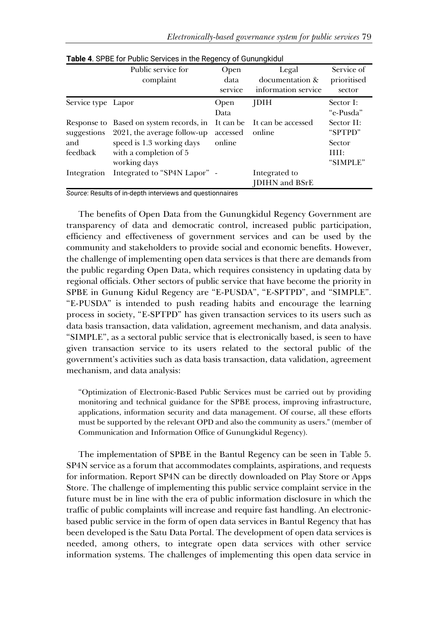|                    | Public service for<br>complaint                                                                                                                           | Open<br>data<br>service | Legal<br>documentation &<br>information service | Service of<br>prioritised<br>sector                 |
|--------------------|-----------------------------------------------------------------------------------------------------------------------------------------------------------|-------------------------|-------------------------------------------------|-----------------------------------------------------|
| Service type Lapor |                                                                                                                                                           | Open<br>Data            | <b>JDIH</b>                                     | Sector I:<br>"e-Pusda"                              |
| and<br>feedback    | Response to Based on system records, in<br>suggestions 2021, the average follow-up<br>speed is 1.3 working days<br>with a completion of 5<br>working days | accessed<br>online      | It can be It can be accessed<br>online          | Sector II:<br>"SPTPD"<br>Sector<br>III:<br>"SIMPLE" |
| Integration        | Integrated to "SP4N Lapor" -                                                                                                                              |                         | Integrated to<br><b>IDIHN</b> and BSrE          |                                                     |

**Table 4**. SPBE for Public Services in the Regency of Gunungkidul

*Source*: Results of in-depth interviews and questionnaires

The benefits of Open Data from the Gunungkidul Regency Government are transparency of data and democratic control, increased public participation, efficiency and effectiveness of government services and can be used by the community and stakeholders to provide social and economic benefits. However, the challenge of implementing open data services is that there are demands from the public regarding Open Data, which requires consistency in updating data by regional officials. Other sectors of public service that have become the priority in SPBE in Gunung Kidul Regency are "E-PUSDA", "E-SPTPD", and "SIMPLE". "E-PUSDA" is intended to push reading habits and encourage the learning process in society, "E-SPTPD" has given transaction services to its users such as data basis transaction, data validation, agreement mechanism, and data analysis. "SIMPLE", as a sectoral public service that is electronically based, is seen to have given transaction service to its users related to the sectoral public of the government's activities such as data basis transaction, data validation, agreement mechanism, and data analysis:

"Optimization of Electronic-Based Public Services must be carried out by providing monitoring and technical guidance for the SPBE process, improving infrastructure, applications, information security and data management. Of course, all these efforts must be supported by the relevant OPD and also the community as users." (member of Communication and Information Office of Gunungkidul Regency).

The implementation of SPBE in the Bantul Regency can be seen in Table 5. SP4N service as a forum that accommodates complaints, aspirations, and requests for information. Report SP4N can be directly downloaded on Play Store or Apps Store. The challenge of implementing this public service complaint service in the future must be in line with the era of public information disclosure in which the traffic of public complaints will increase and require fast handling. An electronicbased public service in the form of open data services in Bantul Regency that has been developed is the Satu Data Portal. The development of open data services is needed, among others, to integrate open data services with other service information systems. The challenges of implementing this open data service in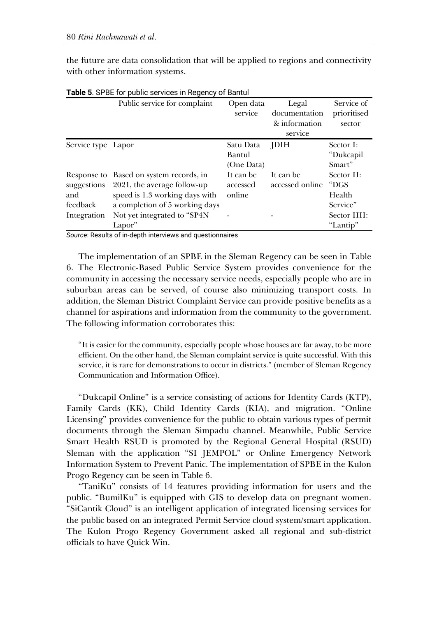the future are data consolidation that will be applied to regions and connectivity with other information systems.

|                                | Public service for complaint                                                                                                               | Open data<br>service              | Legal<br>documentation<br>& information<br>service | Service of<br>prioritised<br>sector      |
|--------------------------------|--------------------------------------------------------------------------------------------------------------------------------------------|-----------------------------------|----------------------------------------------------|------------------------------------------|
| Service type Lapor             |                                                                                                                                            | Satu Data<br>Bantul<br>(One Data) | <b>JDIH</b>                                        | Sector I:<br>"Dukcapil<br>Smart"         |
| suggestions<br>and<br>feedback | Response to Based on system records, in<br>2021, the average follow-up<br>speed is 1.3 working days with<br>a completion of 5 working days | It can be<br>accessed<br>online   | It can be<br>accessed online                       | Sector II:<br>"DGS<br>Health<br>Service" |
| Integration                    | Not yet integrated to "SP4N<br>Lapor"                                                                                                      |                                   |                                                    | Sector IIII:<br>"Lantip"                 |

**Table 5**. SPBE for public services in Regency of Bantul

*Source*: Results of in-depth interviews and questionnaires

The implementation of an SPBE in the Sleman Regency can be seen in Table 6. The Electronic-Based Public Service System provides convenience for the community in accessing the necessary service needs, especially people who are in suburban areas can be served, of course also minimizing transport costs. In addition, the Sleman District Complaint Service can provide positive benefits as a channel for aspirations and information from the community to the government. The following information corroborates this:

"It is easier for the community, especially people whose houses are far away, to be more efficient. On the other hand, the Sleman complaint service is quite successful. With this service, it is rare for demonstrations to occur in districts." (member of Sleman Regency Communication and Information Office).

"Dukcapil Online" is a service consisting of actions for Identity Cards (KTP), Family Cards (KK), Child Identity Cards (KIA), and migration. "Online Licensing" provides convenience for the public to obtain various types of permit documents through the Sleman Simpadu channel. Meanwhile, Public Service Smart Health RSUD is promoted by the Regional General Hospital (RSUD) Sleman with the application "SI JEMPOL" or Online Emergency Network Information System to Prevent Panic. The implementation of SPBE in the Kulon Progo Regency can be seen in Table 6.

"TaniKu" consists of 14 features providing information for users and the public. "BumilKu" is equipped with GIS to develop data on pregnant women. "SiCantik Cloud" is an intelligent application of integrated licensing services for the public based on an integrated Permit Service cloud system/smart application. The Kulon Progo Regency Government asked all regional and sub-district officials to have Quick Win.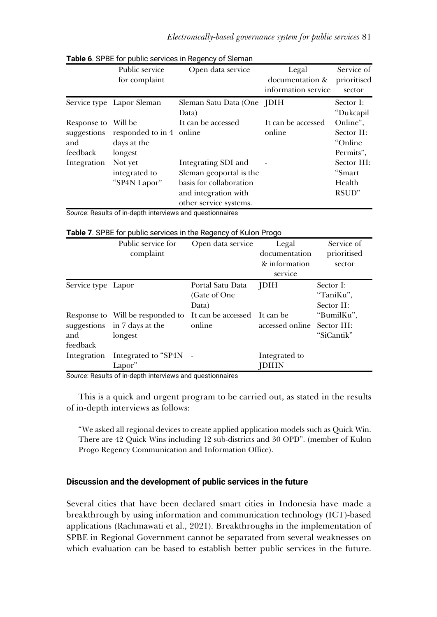Service of

|                                                       | Public service<br>for complaint                    | Open data service                                                                                                           | Legal<br>documentation &<br>information service | Service of<br>prioritised<br>sector             |
|-------------------------------------------------------|----------------------------------------------------|-----------------------------------------------------------------------------------------------------------------------------|-------------------------------------------------|-------------------------------------------------|
|                                                       | Service type Lapor Sleman                          | Sleman Satu Data (One JDIH<br>Data)                                                                                         |                                                 | Sector I:<br>"Dukcapil                          |
| Response to Will be<br>suggestions<br>and<br>feedback | responded to in 4 online<br>days at the<br>longest | It can be accessed                                                                                                          | It can be accessed<br>online                    | Online".<br>Sector II:<br>"Online"<br>Permits". |
| Integration                                           | Not yet<br>integrated to<br>"SP4N Lapor"           | Integrating SDI and<br>Sleman geoportal is the<br>basis for collaboration<br>and integration with<br>other service systems. |                                                 | Sector III:<br>"Smart<br>Health<br>RSUD"        |

## **Table 6**. SPBE for public services in Regency of Sleman

*Source*: Results of in-depth interviews and questionnaires

| Public service for | Open data service | Legal         |
|--------------------|-------------------|---------------|
| complaint          |                   | documentation |
|                    |                   | & information |
|                    |                   |               |

#### **Table 7.** SPBE for public services in the Regency of Kulon Progo

|                    | complaint                                                                                                |                                            | documentation<br>& information<br>service | prioritised<br>sector                |
|--------------------|----------------------------------------------------------------------------------------------------------|--------------------------------------------|-------------------------------------------|--------------------------------------|
| Service type Lapor |                                                                                                          | Portal Satu Data<br>(Gate of One)<br>Data) | <b>JDIH</b>                               | Sector I:<br>"TaniKu",<br>Sector II: |
| and<br>feedback    | Response to Will be responded to It can be accessed It can be<br>suggestions in 7 days at the<br>longest | online                                     | accessed online Sector III:               | "BumilKu",<br>"SiCantik"             |
|                    | Integration Integrated to "SP4N -<br>Lapor"                                                              |                                            | Integrated to<br><b>JDIHN</b>             |                                      |

*Source*: Results of in-depth interviews and questionnaires

This is a quick and urgent program to be carried out, as stated in the results of in-depth interviews as follows:

"We asked all regional devices to create applied application models such as Quick Win. There are 42 Quick Wins including 12 sub-districts and 30 OPD". (member of Kulon Progo Regency Communication and Information Office).

## **Discussion and the development of public services in the future**

Several cities that have been declared smart cities in Indonesia have made a breakthrough by using information and communication technology (ICT)-based applications (Rachmawati et al., 2021). Breakthroughs in the implementation of SPBE in Regional Government cannot be separated from several weaknesses on which evaluation can be based to establish better public services in the future.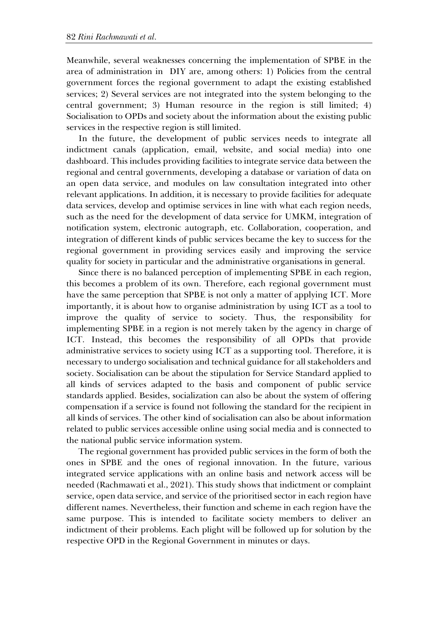Meanwhile, several weaknesses concerning the implementation of SPBE in the area of administration in DIY are, among others: 1) Policies from the central government forces the regional government to adapt the existing established services; 2) Several services are not integrated into the system belonging to the central government; 3) Human resource in the region is still limited; 4) Socialisation to OPDs and society about the information about the existing public services in the respective region is still limited.

In the future, the development of public services needs to integrate all indictment canals (application, email, website, and social media) into one dashboard. This includes providing facilities to integrate service data between the regional and central governments, developing a database or variation of data on an open data service, and modules on law consultation integrated into other relevant applications. In addition, it is necessary to provide facilities for adequate data services, develop and optimise services in line with what each region needs, such as the need for the development of data service for UMKM, integration of notification system, electronic autograph, etc. Collaboration, cooperation, and integration of different kinds of public services became the key to success for the regional government in providing services easily and improving the service quality for society in particular and the administrative organisations in general.

Since there is no balanced perception of implementing SPBE in each region, this becomes a problem of its own. Therefore, each regional government must have the same perception that SPBE is not only a matter of applying ICT. More importantly, it is about how to organise administration by using ICT as a tool to improve the quality of service to society. Thus, the responsibility for implementing SPBE in a region is not merely taken by the agency in charge of ICT. Instead, this becomes the responsibility of all OPDs that provide administrative services to society using ICT as a supporting tool. Therefore, it is necessary to undergo socialisation and technical guidance for all stakeholders and society. Socialisation can be about the stipulation for Service Standard applied to all kinds of services adapted to the basis and component of public service standards applied. Besides, socialization can also be about the system of offering compensation if a service is found not following the standard for the recipient in all kinds of services. The other kind of socialisation can also be about information related to public services accessible online using social media and is connected to the national public service information system.

The regional government has provided public services in the form of both the ones in SPBE and the ones of regional innovation. In the future, various integrated service applications with an online basis and network access will be needed (Rachmawati et al., 2021). This study shows that indictment or complaint service, open data service, and service of the prioritised sector in each region have different names. Nevertheless, their function and scheme in each region have the same purpose. This is intended to facilitate society members to deliver an indictment of their problems. Each plight will be followed up for solution by the respective OPD in the Regional Government in minutes or days.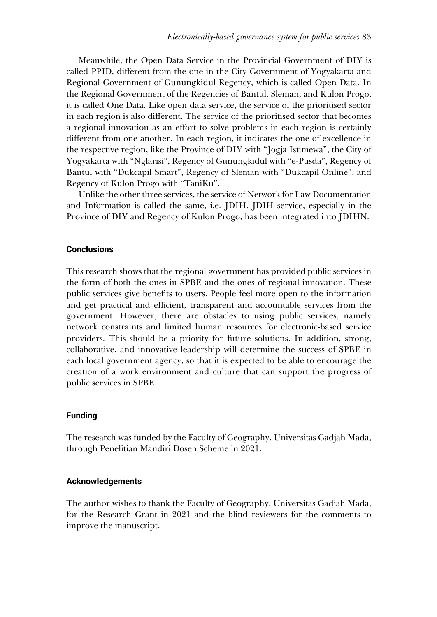Meanwhile, the Open Data Service in the Provincial Government of DIY is called PPID, different from the one in the City Government of Yogyakarta and Regional Government of Gunungkidul Regency, which is called Open Data. In the Regional Government of the Regencies of Bantul, Sleman, and Kulon Progo, it is called One Data. Like open data service, the service of the prioritised sector in each region is also different. The service of the prioritised sector that becomes a regional innovation as an effort to solve problems in each region is certainly different from one another. In each region, it indicates the one of excellence in the respective region, like the Province of DIY with "Jogja Istimewa", the City of Yogyakarta with "Nglarisi", Regency of Gunungkidul with "e-Pusda", Regency of Bantul with "Dukcapil Smart", Regency of Sleman with "Dukcapil Online", and Regency of Kulon Progo with "TaniKu".

Unlike the other three services, the service of Network for Law Documentation and Information is called the same, i.e. JDIH. JDIH service, especially in the Province of DIY and Regency of Kulon Progo, has been integrated into JDIHN.

#### **Conclusions**

This research shows that the regional government has provided public services in the form of both the ones in SPBE and the ones of regional innovation. These public services give benefits to users. People feel more open to the information and get practical and efficient, transparent and accountable services from the government. However, there are obstacles to using public services, namely network constraints and limited human resources for electronic-based service providers. This should be a priority for future solutions. In addition, strong, collaborative, and innovative leadership will determine the success of SPBE in each local government agency, so that it is expected to be able to encourage the creation of a work environment and culture that can support the progress of public services in SPBE.

#### **Funding**

The research was funded by the Faculty of Geography, Universitas Gadjah Mada, through Penelitian Mandiri Dosen Scheme in 2021.

#### **Acknowledgements**

The author wishes to thank the Faculty of Geography, Universitas Gadjah Mada, for the Research Grant in 2021 and the blind reviewers for the comments to improve the manuscript.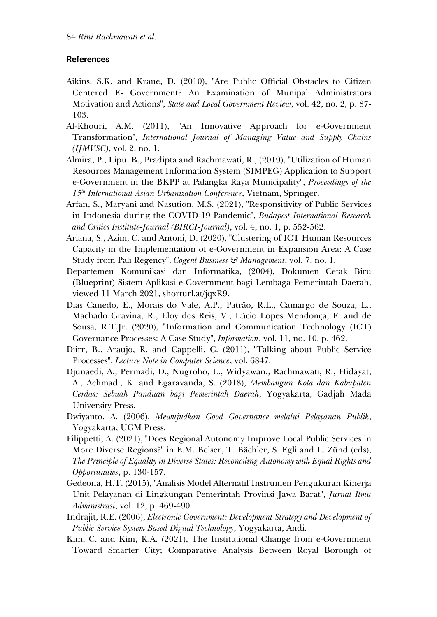#### **References**

- Aikins, S.K. and Krane, D. (2010), "Are Public Official Obstacles to Citizen Centered E- Government? An Examination of Munipal Administrators Motivation and Actions", *State and Local Government Review*, vol. 42, no. 2, p. 87- 103.
- Al-Khouri, A.M. (2011), "An Innovative Approach for e-Government Transformation", *International Journal of Managing Value and Supply Chains (IJMVSC)*, vol. 2, no. 1.
- Almira, P., Lipu. B., Pradipta and Rachmawati, R., (2019), "Utilization of Human Resources Management Information System (SIMPEG) Application to Support e-Government in the BKPP at Palangka Raya Municipality", *Proceedings of the 15th International Asian Urbanization Conference*, Vietnam, Springer.
- Arfan, S., Maryani and Nasution, M.S. (2021), "Responsitivity of Public Services in Indonesia during the COVID-19 Pandemic", *Budapest International Research and Critics Institute-Journal (BIRCI-Journal)*, vol. 4, no. 1, p. 552-562.
- Ariana, S., Azim, C. and Antoni, D. (2020), "Clustering of ICT Human Resources Capacity in the Implementation of e-Government in Expansion Area: A Case Study from Pali Regency", *Cogent Business & Management*, vol. 7, no. 1.
- Departemen Komunikasi dan Informatika, (2004), Dokumen Cetak Biru (Blueprint) Sistem Aplikasi e-Government bagi Lembaga Pemerintah Daerah, viewed 11 March 2021, shorturl.at/jqxR9.
- Dias Canedo, E., Morais do Vale, A.P., Patrão, R.L., Camargo de Souza, L., Machado Gravina, R., Eloy dos Reis, V., Lúcio Lopes Mendonça, F. and de Sousa, R.T.Jr. (2020), "Information and Communication Technology (ICT) Governance Processes: A Case Study", *Information*, vol. 11, no. 10, p. 462.
- Diirr, B., Araujo, R. and Cappelli, C. (2011), "Talking about Public Service Processes", *Lecture Note in Computer Science*, vol. 6847.
- Djunaedi, A., Permadi, D., Nugroho, L., Widyawan., Rachmawati, R., Hidayat, A., Achmad., K. and Egaravanda, S. (2018), *Membangun Kota dan Kabupaten Cerdas: Sebuah Panduan bagi Pemerintah Daerah*, Yogyakarta, Gadjah Mada University Press.
- Dwiyanto, A. (2006), *Mewujudkan Good Governance melalui Pelayanan Publik*, Yogyakarta, UGM Press.
- Filippetti, A. (2021), "Does Regional Autonomy Improve Local Public Services in More Diverse Regions?" in E.M. Belser, T. Bächler, S. Egli and L. Zünd (eds), *The Principle of Equality in Diverse States: Reconciling Autonomy with Equal Rights and Opportunities*, p. 130-157.
- Gedeona, H.T. (2015), "Analisis Model Alternatif Instrumen Pengukuran Kinerja Unit Pelayanan di Lingkungan Pemerintah Provinsi Jawa Barat", *Jurnal Ilmu Administrasi*, vol. 12, p. 469-490.
- Indrajit, R.E. (2006), *Electronic Government: Development Strategy and Development of Public Service System Based Digital Technology*, Yogyakarta, Andi.
- Kim, C. and Kim, K.A. (2021), The Institutional Change from e-Government Toward Smarter City; Comparative Analysis Between Royal Borough of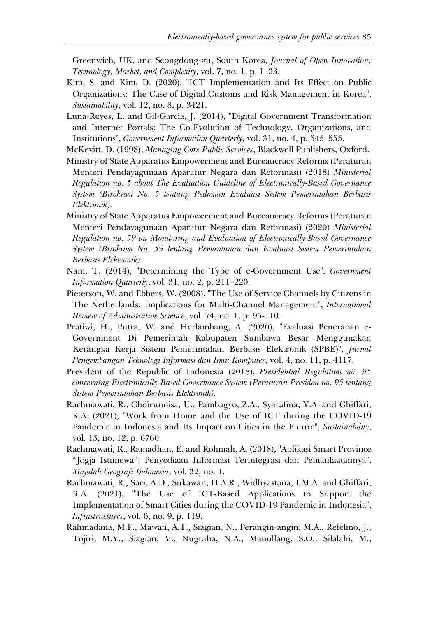Greenwich, UK, and Seongdong-gu, South Korea, *Journal of Open Innovation: Technology, Market, and Complexity*, vol. 7, no. 1, p. 1–33.

- Kim, S. and Kim, D. (2020), "ICT Implementation and Its Effect on Public Organizations: The Case of Digital Customs and Risk Management in Korea", *Sustainability*, vol. 12, no. 8, p. 3421.
- Luna-Reyes, L. and Gil-Garcia, J. (2014), "Digital Government Transformation and Internet Portals: The Co-Evolution of Technology, Organizations, and Institutions", *Government Information Quarterly*, vol. 31, no. 4, p. 545–555.
- McKevitt, D. (1998), *Managing Core Public Services*, Blackwell Publishers, Oxford.
- Ministry of State Apparatus Empowerment and Bureaucracy Reforms (Peraturan Menteri Pendayagunaan Aparatur Negara dan Reformasi) (2018) *Ministerial Regulation no. 5 about The Evaluation Guideline of Electronically-Based Governance System (Birokrasi No. 5 tentang Pedoman Evaluasi Sistem Pemerintahan Berbasis Elektronik).*
- Ministry of State Apparatus Empowerment and Bureaucracy Reforms (Peraturan Menteri Pendayagunaan Aparatur Negara dan Reformasi) (2020) *Ministerial Regulation no. 59 on Monitoring and Evaluation of Electronically-Based Governance System (Birokrasi No. 59 tentang Pemantauan dan Evaluasi Sistem Pemerintahan Berbasis Elektronik).*
- Nam, T. (2014), "Determining the Type of e-Government Use", *Government Information Quarterly*, vol. 31, no. 2, p. 211–220.
- Pieterson, W. and Ebbers, W. (2008), "The Use of Service Channels by Citizens in The Netherlands: Implications for Multi-Channel Management", *International Review of Administrative Science*, vol. 74, no. 1, p. 95-110.
- Pratiwi, H., Putra, W. and Herlambang, A. (2020), "Evaluasi Penerapan e-Government Di Pemerintah Kabupaten Sumbawa Besar Menggunakan Kerangka Kerja Sistem Pemerintahan Berbasis Elektronik (SPBE)", *Jurnal Pengembangan Teknologi Informasi dan Ilmu Komputer*, vol. 4, no. 11, p. 4117.
- President of the Republic of Indonesia (2018), *Presidential Regulation no. 95 concerning Electronically-Based Governance System (Peraturan Presiden no. 95 tentang Sistem Pemerintahan Berbasis Elektronik).*
- Rachmawati, R., Choirunnisa, U., Pambagyo, Z.A., Syarafina, Y.A. and Ghiffari, R.A. (2021), "Work from Home and the Use of ICT during the COVID-19 Pandemic in Indonesia and Its Impact on Cities in the Future", *Sustainability*, vol. 13, no. 12, p. 6760.
- Rachmawati, R., Ramadhan, E. and Rohmah, A. (2018), "Aplikasi Smart Province "Jogja Istimewa": Penyediaan Informasi Terintegrasi dan Pemanfaatannya", *Majalah Geografi Indonesia*, vol. 32, no. 1.
- Rachmawati, R., Sari, A.D., Sukawan, H.A.R., Widhyastana, I.M.A. and Ghiffari, R.A. (2021), "The Use of ICT-Based Applications to Support the Implementation of Smart Cities during the COVID-19 Pandemic in Indonesia", *Infrastructures*, vol. 6, no. 9, p. 119.
- Rahmadana, M.F., Mawati, A.T., Siagian, N., Perangin-angin, M.A., Refelino, J., Tojiri, M.Y., Siagian, V., Nugraha, N.A., Manullang, S.O., Silalahi, M.,